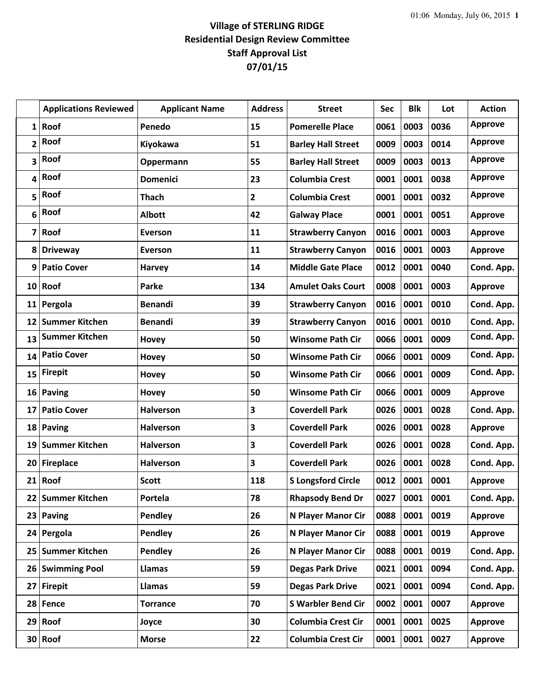## **Village of STERLING RIDGE Residential Design Review Committee Staff Approval List 07/01/15**

|                 | <b>Applications Reviewed</b> | <b>Applicant Name</b> | <b>Address</b> | <b>Street</b>             | Sec  | <b>Blk</b> | Lot  | <b>Action</b>  |
|-----------------|------------------------------|-----------------------|----------------|---------------------------|------|------------|------|----------------|
| 1               | Roof                         | Penedo                | 15             | <b>Pomerelle Place</b>    | 0061 | 0003       | 0036 | <b>Approve</b> |
| 2               | Roof                         | <b>Kiyokawa</b>       | 51             | <b>Barley Hall Street</b> | 0009 | 0003       | 0014 | <b>Approve</b> |
| 3               | Roof                         | Oppermann             | 55             | <b>Barley Hall Street</b> | 0009 | 0003       | 0013 | <b>Approve</b> |
| 4               | Roof                         | <b>Domenici</b>       | 23             | <b>Columbia Crest</b>     | 0001 | 0001       | 0038 | <b>Approve</b> |
| 5               | Roof                         | <b>Thach</b>          | $\overline{2}$ | <b>Columbia Crest</b>     | 0001 | 0001       | 0032 | <b>Approve</b> |
| 6               | Roof                         | <b>Albott</b>         | 42             | <b>Galway Place</b>       | 0001 | 0001       | 0051 | <b>Approve</b> |
| 7               | Roof                         | <b>Everson</b>        | 11             | <b>Strawberry Canyon</b>  | 0016 | 0001       | 0003 | <b>Approve</b> |
| 8               | <b>Driveway</b>              | Everson               | 11             | <b>Strawberry Canyon</b>  | 0016 | 0001       | 0003 | <b>Approve</b> |
| 9               | <b>Patio Cover</b>           | <b>Harvey</b>         | 14             | <b>Middle Gate Place</b>  | 0012 | 0001       | 0040 | Cond. App.     |
| 10 <sup>1</sup> | Roof                         | Parke                 | 134            | <b>Amulet Oaks Court</b>  | 0008 | 0001       | 0003 | <b>Approve</b> |
| 11              | Pergola                      | <b>Benandi</b>        | 39             | <b>Strawberry Canyon</b>  | 0016 | 0001       | 0010 | Cond. App.     |
| 12              | <b>Summer Kitchen</b>        | <b>Benandi</b>        | 39             | <b>Strawberry Canyon</b>  | 0016 | 0001       | 0010 | Cond. App.     |
| 13              | <b>Summer Kitchen</b>        | Hovey                 | 50             | <b>Winsome Path Cir</b>   | 0066 | 0001       | 0009 | Cond. App.     |
| 14              | <b>Patio Cover</b>           | Hovey                 | 50             | <b>Winsome Path Cir</b>   | 0066 | 0001       | 0009 | Cond. App.     |
| 15              | <b>Firepit</b>               | Hovey                 | 50             | <b>Winsome Path Cir</b>   | 0066 | 0001       | 0009 | Cond. App.     |
| 16              | <b>Paving</b>                | Hovey                 | 50             | <b>Winsome Path Cir</b>   | 0066 | 0001       | 0009 | <b>Approve</b> |
| 17              | <b>Patio Cover</b>           | <b>Halverson</b>      | 3              | <b>Coverdell Park</b>     | 0026 | 0001       | 0028 | Cond. App.     |
| 18              | <b>Paving</b>                | <b>Halverson</b>      | 3              | <b>Coverdell Park</b>     | 0026 | 0001       | 0028 | <b>Approve</b> |
| 19              | <b>Summer Kitchen</b>        | <b>Halverson</b>      | 3              | <b>Coverdell Park</b>     | 0026 | 0001       | 0028 | Cond. App.     |
| 20              | <b>Fireplace</b>             | <b>Halverson</b>      | 3              | <b>Coverdell Park</b>     | 0026 | 0001       | 0028 | Cond. App.     |
|                 | $21$ Roof                    | <b>Scott</b>          | 118            | <b>S Longsford Circle</b> | 0012 | 0001       | 0001 | <b>Approve</b> |
|                 | 22 Summer Kitchen            | Portela               | 78             | <b>Rhapsody Bend Dr</b>   | 0027 | 0001       | 0001 | Cond. App.     |
| 23              | <b>Paving</b>                | Pendley               | 26             | N Player Manor Cir        | 0088 | 0001       | 0019 | <b>Approve</b> |
|                 | 24 Pergola                   | Pendley               | 26             | N Player Manor Cir        | 0088 | 0001       | 0019 | <b>Approve</b> |
| 25              | <b>Summer Kitchen</b>        | <b>Pendley</b>        | 26             | N Player Manor Cir        | 0088 | 0001       | 0019 | Cond. App.     |
| 26 <sup>1</sup> | <b>Swimming Pool</b>         | <b>Llamas</b>         | 59             | <b>Degas Park Drive</b>   | 0021 | 0001       | 0094 | Cond. App.     |
| 27              | <b>Firepit</b>               | Llamas                | 59             | <b>Degas Park Drive</b>   | 0021 | 0001       | 0094 | Cond. App.     |
|                 | 28 Fence                     | <b>Torrance</b>       | 70             | <b>S Warbler Bend Cir</b> | 0002 | 0001       | 0007 | <b>Approve</b> |
| 29              | Roof                         | Joyce                 | 30             | <b>Columbia Crest Cir</b> | 0001 | 0001       | 0025 | <b>Approve</b> |
|                 | 30 Roof                      | <b>Morse</b>          | 22             | <b>Columbia Crest Cir</b> | 0001 | 0001       | 0027 | <b>Approve</b> |